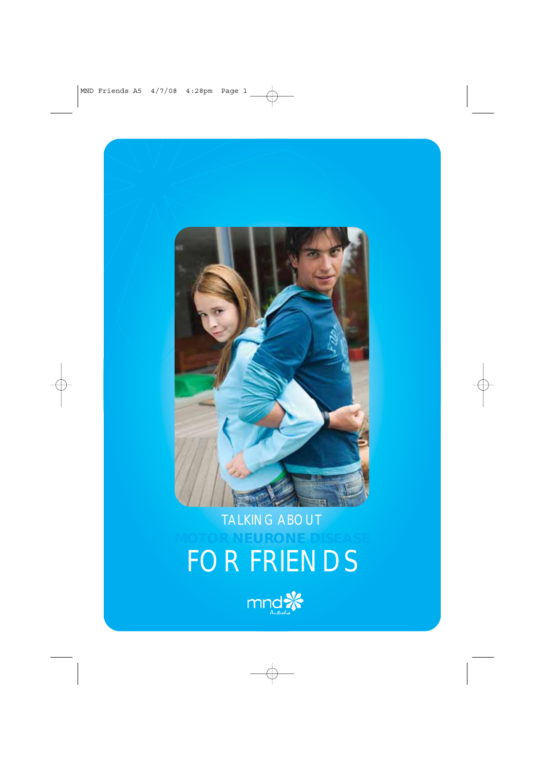

## **MOTOR NEURONE DISEASE** FOR FRIENDS

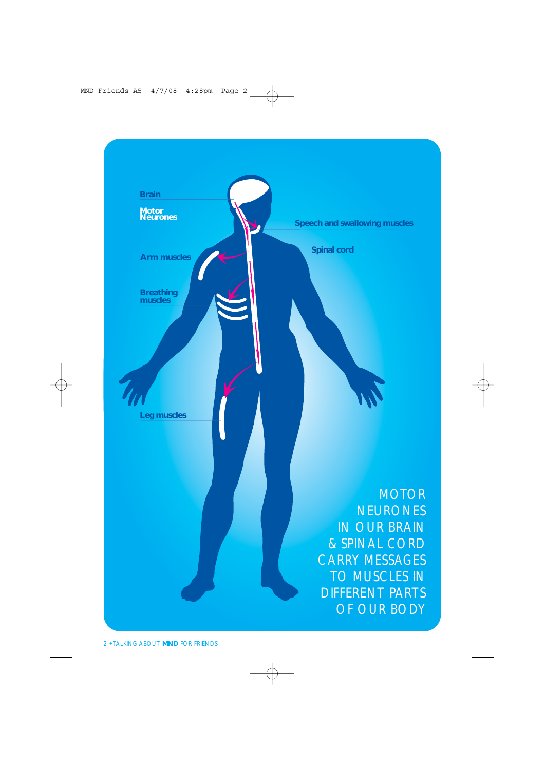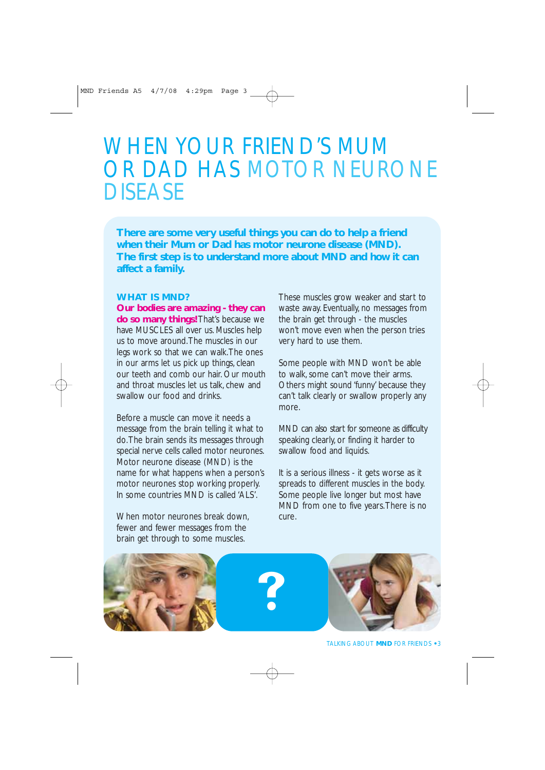### WHEN YOUR FRIEND'S MUM OR DAD HAS MOTOR NEURONE DISEASE

**There are some very useful things you can do to help a friend when their Mum or Dad has motor neurone disease (MND). The first step is to understand more about MND and how it can affect a family.**

#### **WHAT IS MND?**

**Our bodies are amazing - they can do so many things!** That's because we have MUSCLES all over us. Muscles help us to move around.The muscles in our legs work so that we can walk.The ones in our arms let us pick up things, clean our teeth and comb our hair. Our mouth and throat muscles let us talk, chew and swallow our food and drinks.

Before a muscle can move it needs a message from the brain telling it what to do.The brain sends its messages through special nerve cells called motor neurones. Motor neurone disease (MND) is the name for what happens when a person's motor neurones stop working properly. In some countries MND is called 'ALS'.

When motor neurones break down. fewer and fewer messages from the brain get through to some muscles.

These muscles grow weaker and start to waste away. Eventually, no messages from the brain get through - the muscles won't move even when the person tries very hard to use them.

Some people with MND won't be able to walk, some can't move their arms. Others might sound 'funny' because they can't talk clearly or swallow properly any more.

MND can also start for someone as difficulty speaking clearly, or finding it harder to swallow food and liquids.

It is a serious illness - it gets worse as it spreads to different muscles in the body. Some people live longer but most have MND from one to five years.There is no cure.

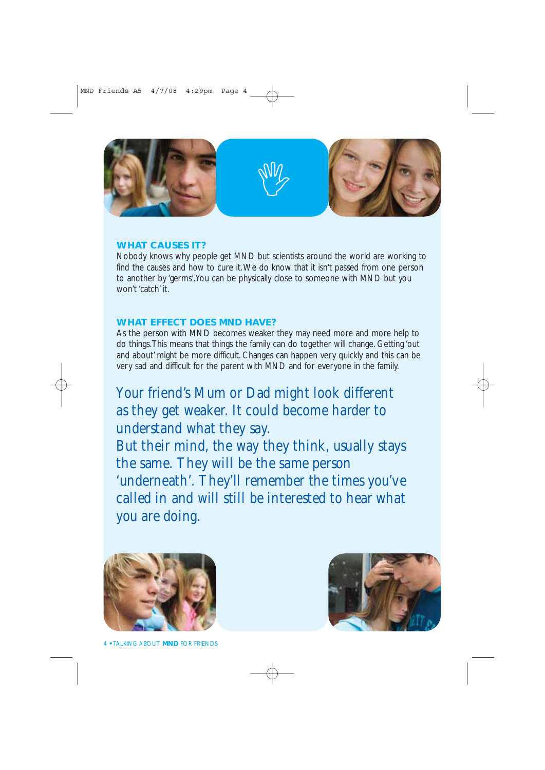

#### **WHAT CAUSES IT?**

Nobody knows why people get MND but scientists around the world are working to find the causes and how to cure it.We do know that it isn't passed from one person to another by 'germs'.You can be physically close to someone with MND but you won't 'catch' it.

#### **WHAT EFFECT DOES MND HAVE?**

As the person with MND becomes weaker they may need more and more help to do things.This means that things the family can do together will change. Getting 'out and about' might be more difficult. Changes can happen very quickly and this can be very sad and difficult for the parent with MND and for everyone in the family.

Your friend's Mum or Dad might look different as they get weaker. It could become harder to understand what they say.

But their mind, the way they think, usually stays the same. They will be the same person 'underneath'. They'll remember the times you've called in and will still be interested to hear what you are doing.



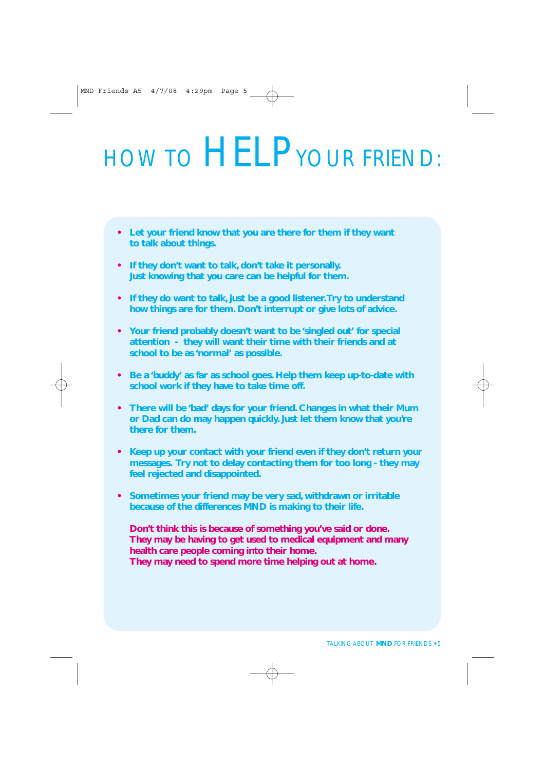# HOW TO HELP YOUR FRIEND:

- **• Let your friend know that you are there for them if they want to talk about things.**
- **• If they don't want to talk, don't take it personally. Just knowing that you care can be helpful for them.**
- **• If they do want to talk, just be a good listener.Try to understand how things are for them. Don't interrupt or give lots of advice.**
- **• Your friend probably doesn't want to be 'singled out' for special attention - they will want their time with their friends and at school to be as 'normal' as possible.**
- **• Be a 'buddy' as far as school goes. Help them keep up-to-date with school work if they have to take time off.**
- **• There will be 'bad' days for your friend. Changes in what their Mum or Dad can do may happen quickly. Just let them know that you're there for them.**
- **• Keep up your contact with your friend even if they don't return your messages. Try not to delay contacting them for too long - they may feel rejected and disappointed.**
- **• Sometimes your friend may be very sad, withdrawn or irritable because of the differences MND is making to their life.**

**Don't think this is because of something you've said or done. They may be having to get used to medical equipment and many health care people coming into their home. They may need to spend more time helping out at home.**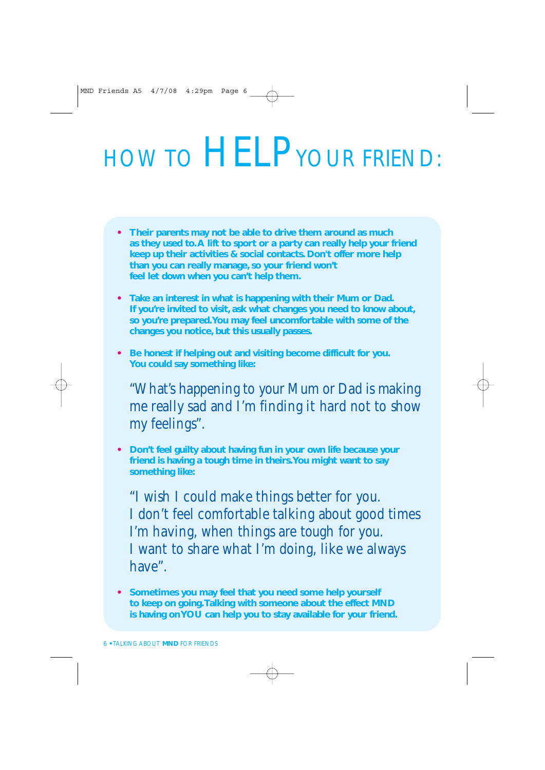# HOW TO HELP YOUR FRIEND:

- **• Their parents may not be able to drive them around as much as they used to.A lift to sport or a party can really help your friend keep up their activities & social contacts. Don't offer more help than you can really manage, so your friend won't feel let down when you can't help them.**
- **• Take an interest in what is happening with their Mum or Dad. If you're invited to visit, ask what changes you need to know about, so you're prepared.You may feel uncomfortable with some of the changes you notice, but this usually passes.**
- **• Be honest if helping out and visiting become difficult for you. You could say something like:**

"What's happening to your Mum or Dad is making me really sad and I'm finding it hard not to show my feelings".

**• Don't feel guilty about having fun in your own life because your friend is having a tough time in theirs.You might want to say something like:**

"I wish I could make things better for you. I don't feel comfortable talking about good times I'm having, when things are tough for you. I want to share what I'm doing, like we always have".

**• Sometimes you may feel that you need some help yourself to keep on going.Talking with someone about the effect MND is having on YOU can help you to stay available for your friend.**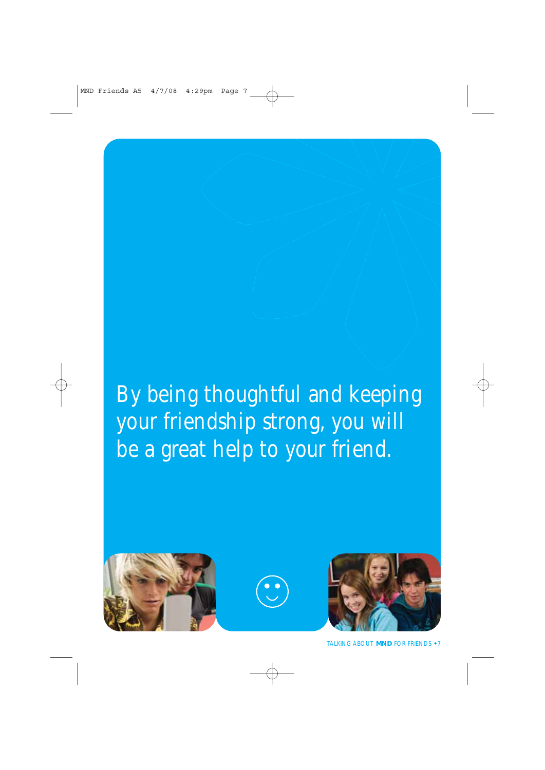### By being thoughtful and keeping your friendship strong, you will be a great help to your friend.